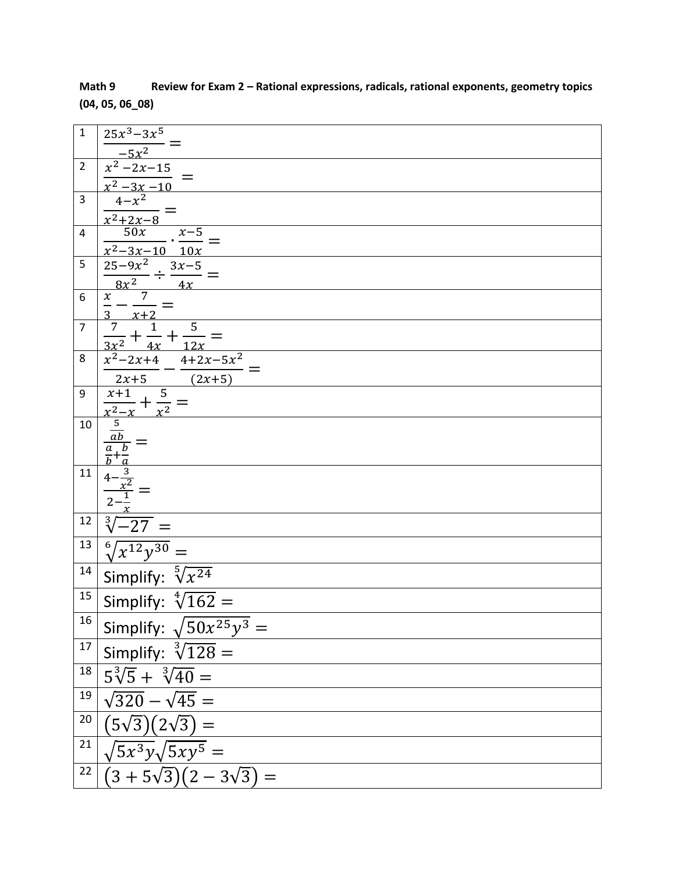| $\mathbf 1$    | $25x^3 - 3x^5$                                                                                               |
|----------------|--------------------------------------------------------------------------------------------------------------|
|                | $\frac{-5x^2}{x^2-2x-15}$ $\frac{x^2-3x-10}{x^2-x^2} =$                                                      |
| $\overline{2}$ |                                                                                                              |
|                |                                                                                                              |
| $\overline{3}$ |                                                                                                              |
| 4              | $\frac{x^2+2x-8}{50x}$<br>$x-5$                                                                              |
|                | $\frac{x^2-3x-10}{10x}$                                                                                      |
| 5              |                                                                                                              |
|                | $\frac{\frac{25-9x^2}{8x^2} \div \frac{3x-5}{4x}}{x \overline{\qquad \qquad }$                               |
| 6              |                                                                                                              |
| $\overline{7}$ | $\frac{1}{3}$ $\frac{x+2}{7}$                                                                                |
|                | $\frac{\frac{3}{7} + \frac{1}{4x} + \frac{5}{12x}}{x^2 - 2x + 4} = \frac{x^2 - 2x + 4}{x^2 - 4 + 2x - 5x^2}$ |
| 8              |                                                                                                              |
|                | $\frac{2x+5}{2x+5}$ $\frac{2x+5}{2x+5}$                                                                      |
| 9              | $\overline{5}$<br>$\overline{x+1}$<br>$\cdot$ + $\cdot$                                                      |
| 10             |                                                                                                              |
|                | $rac{5}{ab}$                                                                                                 |
|                |                                                                                                              |
| $11\,$         |                                                                                                              |
|                |                                                                                                              |
|                |                                                                                                              |
| 12             | $-27$                                                                                                        |
| 13             | $\sqrt[6]{x^{12}y^{30}}$ =                                                                                   |
| 14             | Simplify: $\sqrt[5]{x^{24}}$                                                                                 |
| 15             | Simplify: $\sqrt[4]{162}$ =                                                                                  |
| 16             | Simplify: $\sqrt{50x^{25}y^3}$ =                                                                             |
| $17\,$         | Simplify: $\sqrt[3]{128}$ =                                                                                  |
| $18\,$         | $5\sqrt[3]{5} + \sqrt[3]{40} =$                                                                              |
| 19             | $\sqrt{320} - \sqrt{45} =$                                                                                   |
| 20             | $(5\sqrt{3})(2\sqrt{3}) =$                                                                                   |
| 21             | $\sqrt{5x^3y}\sqrt{5xy^5} =$                                                                                 |
| 22             | $(3+5\sqrt{3})(2-3\sqrt{3}) =$                                                                               |
|                |                                                                                                              |

**Math 9 Review for Exam 2 – Rational expressions, radicals, rational exponents, geometry topics (04, 05, 06\_08)**